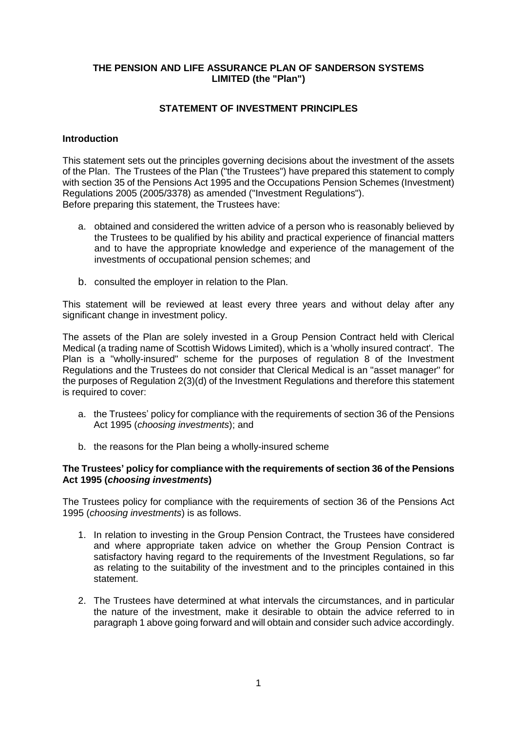# **THE PENSION AND LIFE ASSURANCE PLAN OF SANDERSON SYSTEMS LIMITED (the "Plan")**

# **STATEMENT OF INVESTMENT PRINCIPLES**

### **Introduction**

This statement sets out the principles governing decisions about the investment of the assets of the Plan. The Trustees of the Plan ("the Trustees") have prepared this statement to comply with section 35 of the Pensions Act 1995 and the Occupations Pension Schemes (Investment) Regulations 2005 (2005/3378) as amended ("Investment Regulations"). Before preparing this statement, the Trustees have:

- a. obtained and considered the written advice of a person who is reasonably believed by the Trustees to be qualified by his ability and practical experience of financial matters and to have the appropriate knowledge and experience of the management of the investments of occupational pension schemes; and
- b. consulted the employer in relation to the Plan.

This statement will be reviewed at least every three years and without delay after any significant change in investment policy.

The assets of the Plan are solely invested in a Group Pension Contract held with Clerical Medical (a trading name of Scottish Widows Limited), which is a 'wholly insured contract'. The Plan is a "wholly-insured" scheme for the purposes of regulation 8 of the Investment Regulations and the Trustees do not consider that Clerical Medical is an "asset manager" for the purposes of Regulation 2(3)(d) of the Investment Regulations and therefore this statement is required to cover:

- a. the Trustees' policy for compliance with the requirements of section 36 of the Pensions Act 1995 (*choosing investments*); and
- b. the reasons for the Plan being a wholly-insured scheme

### **The Trustees' policy for compliance with the requirements of section 36 of the Pensions Act 1995 (***choosing investments***)**

The Trustees policy for compliance with the requirements of section 36 of the Pensions Act 1995 (*choosing investments*) is as follows.

- 1. In relation to investing in the Group Pension Contract, the Trustees have considered and where appropriate taken advice on whether the Group Pension Contract is satisfactory having regard to the requirements of the Investment Regulations, so far as relating to the suitability of the investment and to the principles contained in this statement.
- 2. The Trustees have determined at what intervals the circumstances, and in particular the nature of the investment, make it desirable to obtain the advice referred to in paragraph 1 above going forward and will obtain and consider such advice accordingly.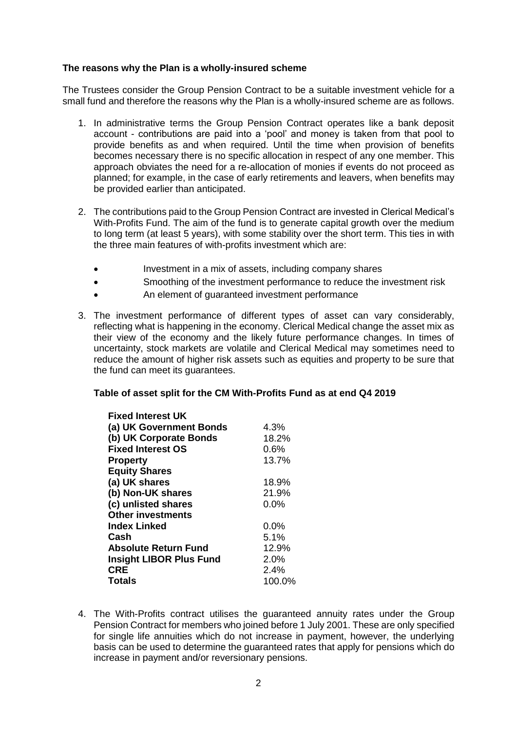# **The reasons why the Plan is a wholly-insured scheme**

The Trustees consider the Group Pension Contract to be a suitable investment vehicle for a small fund and therefore the reasons why the Plan is a wholly-insured scheme are as follows.

- 1. In administrative terms the Group Pension Contract operates like a bank deposit account - contributions are paid into a 'pool' and money is taken from that pool to provide benefits as and when required. Until the time when provision of benefits becomes necessary there is no specific allocation in respect of any one member. This approach obviates the need for a re-allocation of monies if events do not proceed as planned; for example, in the case of early retirements and leavers, when benefits may be provided earlier than anticipated.
- 2. The contributions paid to the Group Pension Contract are invested in Clerical Medical's With-Profits Fund. The aim of the fund is to generate capital growth over the medium to long term (at least 5 years), with some stability over the short term. This ties in with the three main features of with-profits investment which are:
	- Investment in a mix of assets, including company shares
	- Smoothing of the investment performance to reduce the investment risk
	- An element of guaranteed investment performance
- 3. The investment performance of different types of asset can vary considerably, reflecting what is happening in the economy. Clerical Medical change the asset mix as their view of the economy and the likely future performance changes. In times of uncertainty, stock markets are volatile and Clerical Medical may sometimes need to reduce the amount of higher risk assets such as equities and property to be sure that the fund can meet its guarantees.

#### **Table of asset split for the CM With-Profits Fund as at end Q4 2019**

| <b>Fixed Interest UK</b>       |         |
|--------------------------------|---------|
| (a) UK Government Bonds        | 4.3%    |
| (b) UK Corporate Bonds         | 18.2%   |
| <b>Fixed Interest OS</b>       | 0.6%    |
| <b>Property</b>                | 13.7%   |
| <b>Equity Shares</b>           |         |
| (a) UK shares                  | 18.9%   |
| (b) Non-UK shares              | 21.9%   |
| (c) unlisted shares            | 0.0%    |
| <b>Other investments</b>       |         |
| <b>Index Linked</b>            | $0.0\%$ |
| Cash                           | 5.1%    |
| <b>Absolute Return Fund</b>    | 12.9%   |
| <b>Insight LIBOR Plus Fund</b> | 2.0%    |
| <b>CRE</b>                     | 2.4%    |
| <b>Totals</b>                  | 100.0%  |

4. The With-Profits contract utilises the guaranteed annuity rates under the Group Pension Contract for members who joined before 1 July 2001. These are only specified for single life annuities which do not increase in payment, however, the underlying basis can be used to determine the guaranteed rates that apply for pensions which do increase in payment and/or reversionary pensions.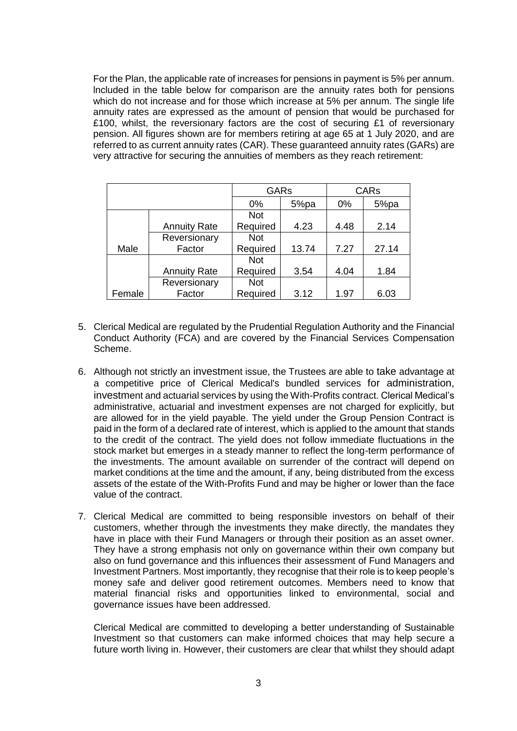For the Plan, the applicable rate of increases for pensions in payment is 5% per annum. lncluded in the table below for comparison are the annuity rates both for pensions which do not increase and for those which increase at 5% per annum. The single life annuity rates are expressed as the amount of pension that would be purchased for £100, whilst, the reversionary factors are the cost of securing £1 of reversionary pension. All figures shown are for members retiring at age 65 at 1 July 2020, and are referred to as current annuity rates (CAR). These guaranteed annuity rates (GARs) are very attractive for securing the annuities of members as they reach retirement:

|        |                     | <b>GARs</b> |       | <b>CARs</b> |       |
|--------|---------------------|-------------|-------|-------------|-------|
|        |                     | 0%          | 5%pa  | 0%          | 5%pa  |
|        |                     | <b>Not</b>  |       |             |       |
|        | <b>Annuity Rate</b> | Required    | 4.23  | 4.48        | 2.14  |
|        | Reversionary        | <b>Not</b>  |       |             |       |
| Male   | Factor              | Required    | 13.74 | 7.27        | 27.14 |
|        |                     | <b>Not</b>  |       |             |       |
|        | <b>Annuity Rate</b> | Required    | 3.54  | 4.04        | 1.84  |
|        | Reversionary        | <b>Not</b>  |       |             |       |
| Female | Factor              | Required    | 3.12  | 1.97        | 6.03  |

- 5. Clerical Medical are regulated by the Prudential Regulation Authority and the Financial Conduct Authority (FCA) and are covered by the Financial Services Compensation Scheme.
- 6. Although not strictly an investment issue, the Trustees are able to take advantage at a competitive price of Clerical Medical's bundled services for administration, investment and actuarial services by using the With-Profits contract. Clerical Medical's administrative, actuarial and investment expenses are not charged for explicitly, but are allowed for in the yield payable. The yield under the Group Pension Contract is paid in the form of a declared rate of interest, which is applied to the amount that stands to the credit of the contract. The yield does not follow immediate fluctuations in the stock market but emerges in a steady manner to reflect the long-term performance of the investments. The amount available on surrender of the contract will depend on market conditions at the time and the amount, if any, being distributed from the excess assets of the estate of the With-Profits Fund and may be higher or lower than the face value of the contract.
- 7. Clerical Medical are committed to being responsible investors on behalf of their customers, whether through the investments they make directly, the mandates they have in place with their Fund Managers or through their position as an asset owner. They have a strong emphasis not only on governance within their own company but also on fund governance and this influences their assessment of Fund Managers and Investment Partners. Most importantly, they recognise that their role is to keep people's money safe and deliver good retirement outcomes. Members need to know that material financial risks and opportunities linked to environmental, social and governance issues have been addressed.

Clerical Medical are committed to developing a better understanding of Sustainable Investment so that customers can make informed choices that may help secure a future worth living in. However, their customers are clear that whilst they should adapt